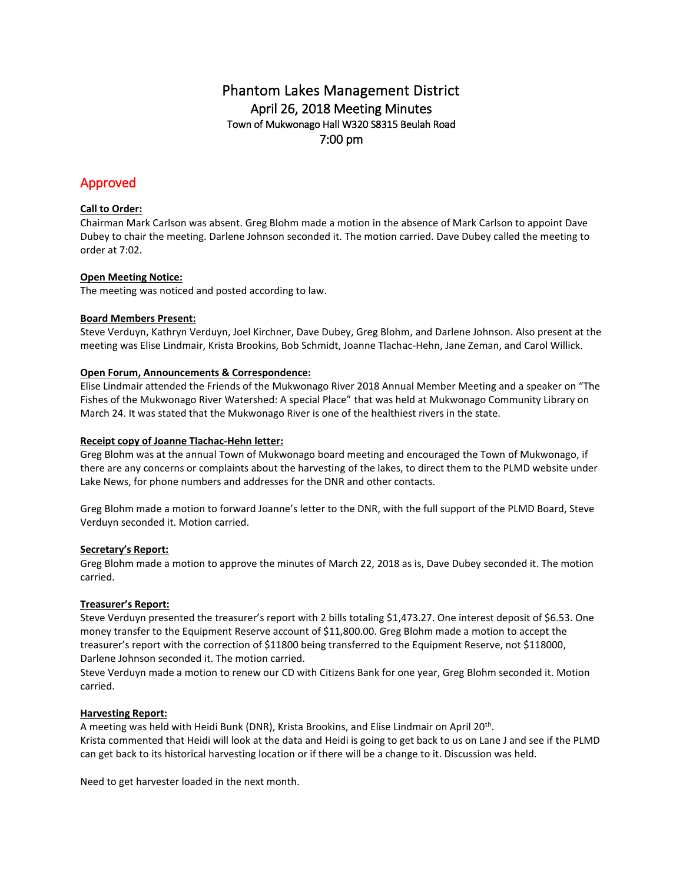# Phantom Lakes Management District April 26, 2018 Meeting Minutes Town of Mukwonago Hall W320 S8315 Beulah Road 7:00 pm

# Approved

# **Call to Order:**

Chairman Mark Carlson was absent. Greg Blohm made a motion in the absence of Mark Carlson to appoint Dave Dubey to chair the meeting. Darlene Johnson seconded it. The motion carried. Dave Dubey called the meeting to order at 7:02.

## **Open Meeting Notice:**

The meeting was noticed and posted according to law.

### **Board Members Present:**

Steve Verduyn, Kathryn Verduyn, Joel Kirchner, Dave Dubey, Greg Blohm, and Darlene Johnson. Also present at the meeting was Elise Lindmair, Krista Brookins, Bob Schmidt, Joanne Tlachac-Hehn, Jane Zeman, and Carol Willick.

### **Open Forum, Announcements & Correspondence:**

Elise Lindmair attended the Friends of the Mukwonago River 2018 Annual Member Meeting and a speaker on "The Fishes of the Mukwonago River Watershed: A special Place" that was held at Mukwonago Community Library on March 24. It was stated that the Mukwonago River is one of the healthiest rivers in the state.

## **Receipt copy of Joanne Tlachac-Hehn letter:**

Greg Blohm was at the annual Town of Mukwonago board meeting and encouraged the Town of Mukwonago, if there are any concerns or complaints about the harvesting of the lakes, to direct them to the PLMD website under Lake News, for phone numbers and addresses for the DNR and other contacts.

Greg Blohm made a motion to forward Joanne's letter to the DNR, with the full support of the PLMD Board, Steve Verduyn seconded it. Motion carried.

## **Secretary's Report:**

Greg Blohm made a motion to approve the minutes of March 22, 2018 as is, Dave Dubey seconded it. The motion carried.

## **Treasurer's Report:**

Steve Verduyn presented the treasurer's report with 2 bills totaling \$1,473.27. One interest deposit of \$6.53. One money transfer to the Equipment Reserve account of \$11,800.00. Greg Blohm made a motion to accept the treasurer's report with the correction of \$11800 being transferred to the Equipment Reserve, not \$118000, Darlene Johnson seconded it. The motion carried.

Steve Verduyn made a motion to renew our CD with Citizens Bank for one year, Greg Blohm seconded it. Motion carried.

## **Harvesting Report:**

A meeting was held with Heidi Bunk (DNR), Krista Brookins, and Elise Lindmair on April 20<sup>th</sup>. Krista commented that Heidi will look at the data and Heidi is going to get back to us on Lane J and see if the PLMD can get back to its historical harvesting location or if there will be a change to it. Discussion was held.

Need to get harvester loaded in the next month.